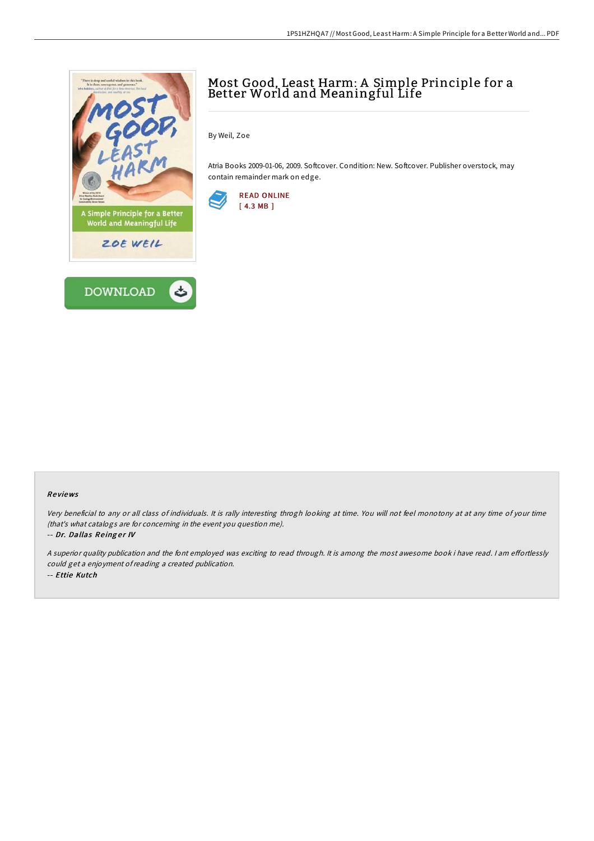

# Most Good, Least Harm: A Simple Principle for a Better World and Meaningful Life

By Weil, Zoe

Atria Books 2009-01-06, 2009. Softcover. Condition: New. Softcover. Publisher overstock, may contain remainder mark on edge.



#### Re views

Very beneficial to any or all class of individuals. It is rally interesting throgh looking at time. You will not feel monotony at at any time of your time (that's what catalogs are for concerning in the event you question me).

-- Dr. Dallas Reinger IV

A superior quality publication and the font employed was exciting to read through. It is among the most awesome book i have read. I am effortlessly could get <sup>a</sup> enjoyment ofreading <sup>a</sup> created publication. -- Ettie Kutch